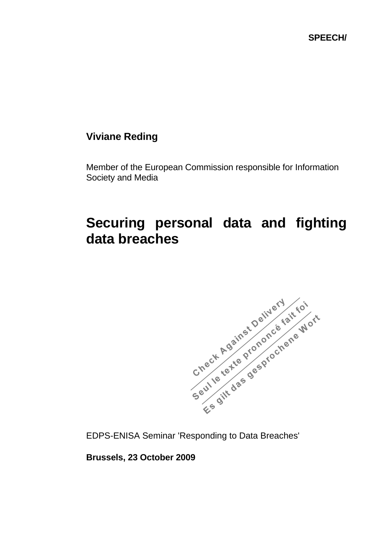**SPEECH/** 

## **Viviane Reding**

Member of the European Commission responsible for Information Society and Media

## **Securing personal data and fighting data breaches**



**Brussels, 23 October 2009**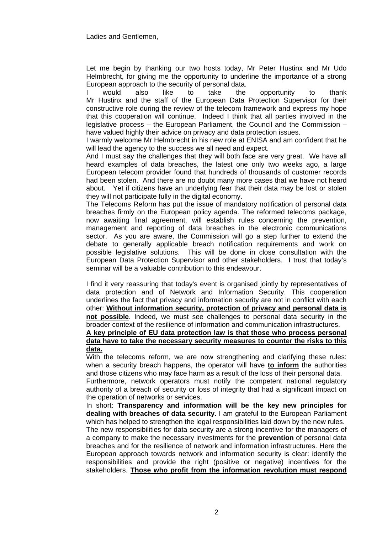Let me begin by thanking our two hosts today, Mr Peter Hustinx and Mr Udo Helmbrecht, for giving me the opportunity to underline the importance of a strong European approach to the security of personal data.

would also like to take the opportunity to thank Mr Hustinx and the staff of the European Data Protection Supervisor for their constructive role during the review of the telecom framework and express my hope that this cooperation will continue. Indeed I think that all parties involved in the legislative process – the European Parliament, the Council and the Commission – have valued highly their advice on privacy and data protection issues.

I warmly welcome Mr Helmbrecht in his new role at ENISA and am confident that he will lead the agency to the success we all need and expect.

And I must say the challenges that they will both face are very great. We have all heard examples of data breaches, the latest one only two weeks ago, a large European telecom provider found that hundreds of thousands of customer records had been stolen. And there are no doubt many more cases that we have not heard about. Yet if citizens have an underlying fear that their data may be lost or stolen they will not participate fully in the digital economy.

The Telecoms Reform has put the issue of mandatory notification of personal data breaches firmly on the European policy agenda. The reformed telecoms package, now awaiting final agreement, will establish rules concerning the prevention, management and reporting of data breaches in the electronic communications sector. As you are aware, the Commission will go a step further to extend the debate to generally applicable breach notification requirements and work on possible legislative solutions. This will be done in close consultation with the European Data Protection Supervisor and other stakeholders. I trust that today's seminar will be a valuable contribution to this endeavour.

I find it very reassuring that today's event is organised jointly by representatives of data protection and of Network and Information Security. This cooperation underlines the fact that privacy and information security are not in conflict with each other: **Without information security, protection of privacy and personal data is not possible**. Indeed, we must see challenges to personal data security in the broader context of the resilience of information and communication infrastructures.

## **A key principle of EU data protection law is that those who process personal data have to take the necessary security measures to counter the risks to this data.**

With the telecoms reform, we are now strengthening and clarifying these rules: when a security breach happens, the operator will have **to inform** the authorities and those citizens who may face harm as a result of the loss of their personal data.

Furthermore, network operators must notify the competent national regulatory authority of a breach of security or loss of integrity that had a significant impact on the operation of networks or services.

In short: **Transparency and information will be the key new principles for dealing with breaches of data security.** I am grateful to the European Parliament which has helped to strengthen the legal responsibilities laid down by the new rules. The new responsibilities for data security are a strong incentive for the managers of a company to make the necessary investments for the **prevention** of personal data breaches and for the resilience of network and information infrastructures. Here the European approach towards network and information security is clear: identify the responsibilities and provide the right (positive or negative) incentives for the stakeholders. **Those who profit from the information revolution must respond**